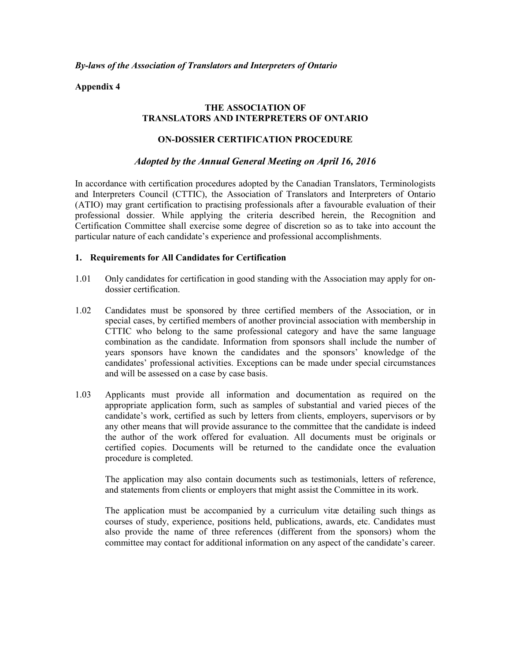*By-laws of the Association of Translators and Interpreters of Ontario*

**Appendix 4**

### **THE ASSOCIATION OF TRANSLATORS AND INTERPRETERS OF ONTARIO**

### **ON-DOSSIER CERTIFICATION PROCEDURE**

#### *Adopted by the Annual General Meeting on April 16, 2016*

In accordance with certification procedures adopted by the Canadian Translators, Terminologists and Interpreters Council (CTTIC), the Association of Translators and Interpreters of Ontario (ATIO) may grant certification to practising professionals after a favourable evaluation of their professional dossier. While applying the criteria described herein, the Recognition and Certification Committee shall exercise some degree of discretion so as to take into account the particular nature of each candidate's experience and professional accomplishments.

#### **1. Requirements for All Candidates for Certification**

- 1.01 Only candidates for certification in good standing with the Association may apply for ondossier certification.
- 1.02 Candidates must be sponsored by three certified members of the Association, or in special cases, by certified members of another provincial association with membership in CTTIC who belong to the same professional category and have the same language combination as the candidate. Information from sponsors shall include the number of years sponsors have known the candidates and the sponsors' knowledge of the candidates' professional activities. Exceptions can be made under special circumstances and will be assessed on a case by case basis.
- 1.03 Applicants must provide all information and documentation as required on the appropriate application form, such as samples of substantial and varied pieces of the candidate's work, certified as such by letters from clients, employers, supervisors or by any other means that will provide assurance to the committee that the candidate is indeed the author of the work offered for evaluation. All documents must be originals or certified copies. Documents will be returned to the candidate once the evaluation procedure is completed.

The application may also contain documents such as testimonials, letters of reference, and statements from clients or employers that might assist the Committee in its work.

The application must be accompanied by a curriculum vitæ detailing such things as courses of study, experience, positions held, publications, awards, etc. Candidates must also provide the name of three references (different from the sponsors) whom the committee may contact for additional information on any aspect of the candidate's career.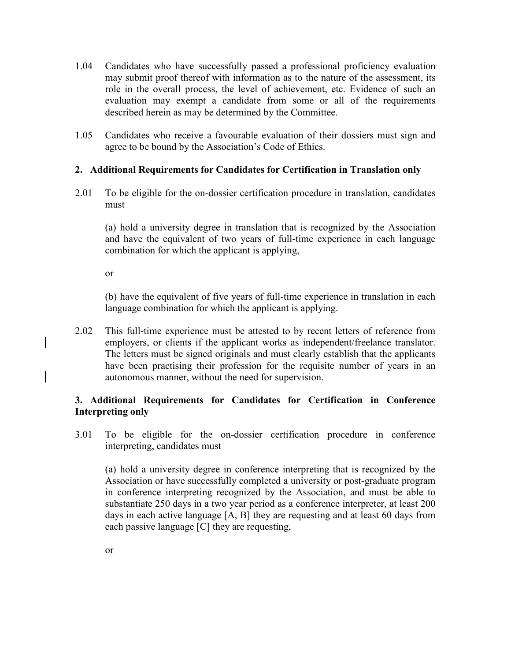- 1.04 Candidates who have successfully passed a professional proficiency evaluation may submit proof thereof with information as to the nature of the assessment, its role in the overall process, the level of achievement, etc. Evidence of such an evaluation may exempt a candidate from some or all of the requirements described herein as may be determined by the Committee.
- 1.05 Candidates who receive a favourable evaluation of their dossiers must sign and agree to be bound by the Association's Code of Ethics.

### **2. Additional Requirements for Candidates for Certification in Translation only**

2.01 To be eligible for the on-dossier certification procedure in translation, candidates must

(a) hold a university degree in translation that is recognized by the Association and have the equivalent of two years of full-time experience in each language combination for which the applicant is applying,

or

(b) have the equivalent of five years of full-time experience in translation in each language combination for which the applicant is applying.

2.02 This full-time experience must be attested to by recent letters of reference from employers, or clients if the applicant works as independent/freelance translator. The letters must be signed originals and must clearly establish that the applicants have been practising their profession for the requisite number of years in an autonomous manner, without the need for supervision.

## **3. Additional Requirements for Candidates for Certification in Conference Interpreting only**

3.01 To be eligible for the on-dossier certification procedure in conference interpreting, candidates must

(a) hold a university degree in conference interpreting that is recognized by the Association or have successfully completed a university or post-graduate program in conference interpreting recognized by the Association, and must be able to substantiate 250 days in a two year period as a conference interpreter, at least 200 days in each active language [A, B] they are requesting and at least 60 days from each passive language [C] they are requesting,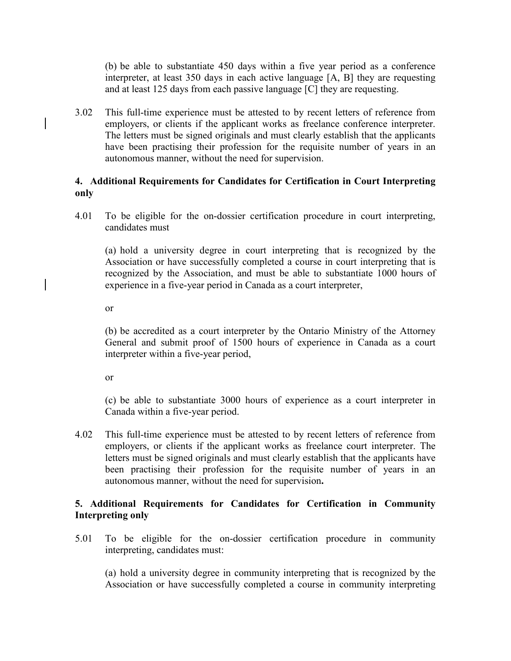(b) be able to substantiate 450 days within a five year period as a conference interpreter, at least 350 days in each active language [A, B] they are requesting and at least 125 days from each passive language [C] they are requesting.

3.02 This full-time experience must be attested to by recent letters of reference from employers, or clients if the applicant works as freelance conference interpreter. The letters must be signed originals and must clearly establish that the applicants have been practising their profession for the requisite number of years in an autonomous manner, without the need for supervision.

### **4. Additional Requirements for Candidates for Certification in Court Interpreting only**

4.01 To be eligible for the on-dossier certification procedure in court interpreting, candidates must

(a) hold a university degree in court interpreting that is recognized by the Association or have successfully completed a course in court interpreting that is recognized by the Association, and must be able to substantiate 1000 hours of experience in a five-year period in Canada as a court interpreter,

or

(b) be accredited as a court interpreter by the Ontario Ministry of the Attorney General and submit proof of 1500 hours of experience in Canada as a court interpreter within a five-year period,

or

(c) be able to substantiate 3000 hours of experience as a court interpreter in Canada within a five-year period.

4.02 This full-time experience must be attested to by recent letters of reference from employers, or clients if the applicant works as freelance court interpreter. The letters must be signed originals and must clearly establish that the applicants have been practising their profession for the requisite number of years in an autonomous manner, without the need for supervision**.**

### **5. Additional Requirements for Candidates for Certification in Community Interpreting only**

5.01 To be eligible for the on-dossier certification procedure in community interpreting, candidates must:

(a) hold a university degree in community interpreting that is recognized by the Association or have successfully completed a course in community interpreting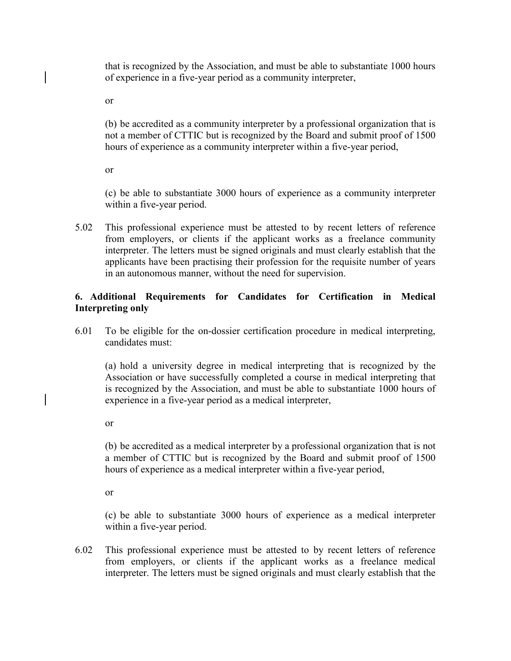that is recognized by the Association, and must be able to substantiate 1000 hours of experience in a five-year period as a community interpreter,

or

(b) be accredited as a community interpreter by a professional organization that is not a member of CTTIC but is recognized by the Board and submit proof of 1500 hours of experience as a community interpreter within a five-year period,

or

(c) be able to substantiate 3000 hours of experience as a community interpreter within a five-year period.

5.02 This professional experience must be attested to by recent letters of reference from employers, or clients if the applicant works as a freelance community interpreter. The letters must be signed originals and must clearly establish that the applicants have been practising their profession for the requisite number of years in an autonomous manner, without the need for supervision.

# **6. Additional Requirements for Candidates for Certification in Medical Interpreting only**

6.01 To be eligible for the on-dossier certification procedure in medical interpreting, candidates must:

(a) hold a university degree in medical interpreting that is recognized by the Association or have successfully completed a course in medical interpreting that is recognized by the Association, and must be able to substantiate 1000 hours of experience in a five-year period as a medical interpreter,

or

(b) be accredited as a medical interpreter by a professional organization that is not a member of CTTIC but is recognized by the Board and submit proof of 1500 hours of experience as a medical interpreter within a five-year period,

or

(c) be able to substantiate 3000 hours of experience as a medical interpreter within a five-year period.

6.02 This professional experience must be attested to by recent letters of reference from employers, or clients if the applicant works as a freelance medical interpreter. The letters must be signed originals and must clearly establish that the